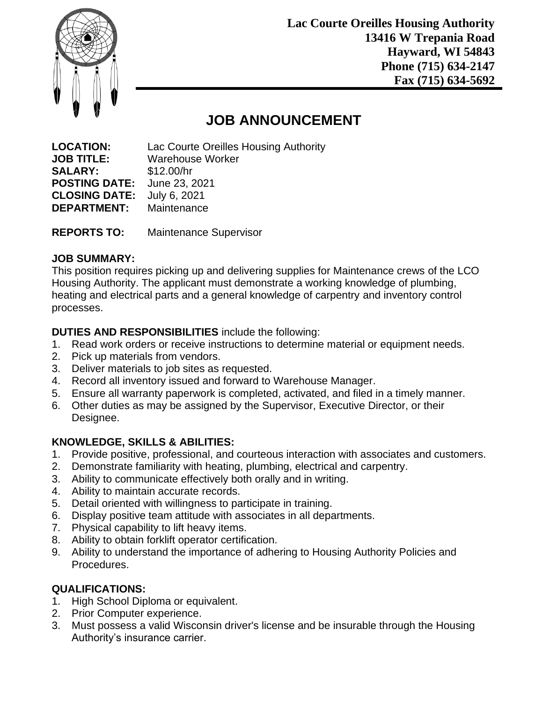

**Lac Courte Oreilles Housing Authority 13416 W Trepania Road Hayward, WI 54843 Phone (715) 634-2147 Fax (715) 634-5692**

# **JOB ANNOUNCEMENT**

**LOCATION:** Lac Courte Oreilles Housing Authority **JOB TITLE:** Warehouse Worker **SALARY:** \$12.00/hr **POSTING DATE:** June 23, 2021 **CLOSING DATE:** July 6, 2021 **DEPARTMENT:** Maintenance

**REPORTS TO:** Maintenance Supervisor

### **JOB SUMMARY:**

This position requires picking up and delivering supplies for Maintenance crews of the LCO Housing Authority. The applicant must demonstrate a working knowledge of plumbing, heating and electrical parts and a general knowledge of carpentry and inventory control processes.

### **DUTIES AND RESPONSIBILITIES** include the following:

- 1. Read work orders or receive instructions to determine material or equipment needs.
- 2. Pick up materials from vendors.
- 3. Deliver materials to job sites as requested.
- 4. Record all inventory issued and forward to Warehouse Manager.
- 5. Ensure all warranty paperwork is completed, activated, and filed in a timely manner.
- 6. Other duties as may be assigned by the Supervisor, Executive Director, or their Designee.

### **KNOWLEDGE, SKILLS & ABILITIES:**

- 1. Provide positive, professional, and courteous interaction with associates and customers.
- 2. Demonstrate familiarity with heating, plumbing, electrical and carpentry.
- 3. Ability to communicate effectively both orally and in writing.
- 4. Ability to maintain accurate records.
- 5. Detail oriented with willingness to participate in training.
- 6. Display positive team attitude with associates in all departments.
- 7. Physical capability to lift heavy items.
- 8. Ability to obtain forklift operator certification.
- 9. Ability to understand the importance of adhering to Housing Authority Policies and Procedures.

## **QUALIFICATIONS:**

- 1. High School Diploma or equivalent.
- 2. Prior Computer experience.
- 3. Must possess a valid Wisconsin driver's license and be insurable through the Housing Authority's insurance carrier.